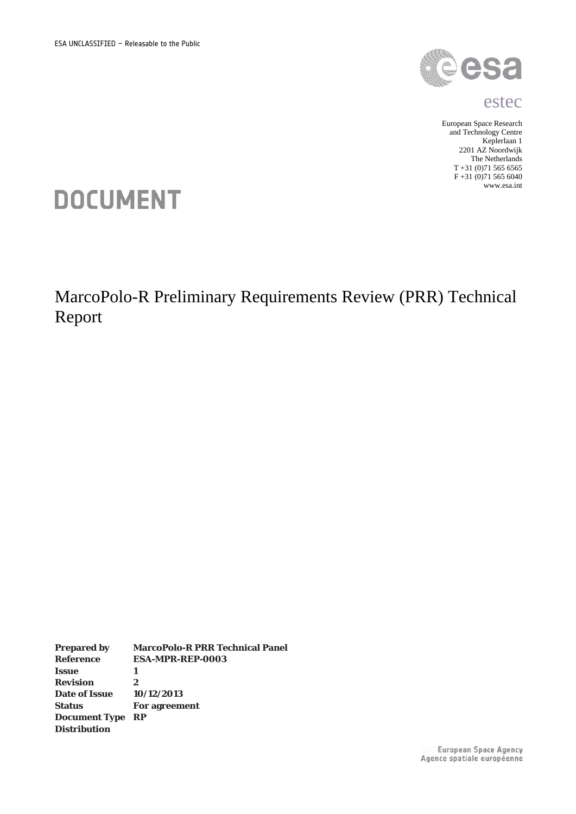

#### estec

European Space Research and Technology Centre Keplerlaan 1 2201 AZ Noordwijk The Netherlands T +31 (0)<br>71 565 6565  $F + 31 (0)71 565 6040$ www.esa.int

# **DOCUMENT**

MarcoPolo-R Preliminary Requirements Review (PRR) Technical Report

**Prepared by MarcoPolo-R PRR Technical Panel Reference ESA-MPR-REP-0003 Issue** 1<br>**Revision** 2 **Revision 2 Date of Issue 10/12/2013 Status For agreement Document Type RP Distribution**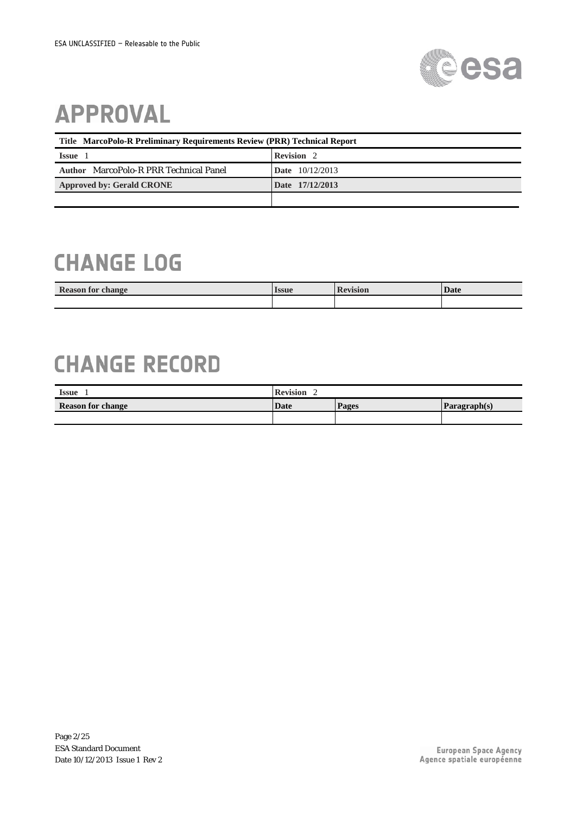

# **APPROVAL**

| Title MarcoPolo-R Preliminary Requirements Review (PRR) Technical Report |                   |  |  |  |  |
|--------------------------------------------------------------------------|-------------------|--|--|--|--|
| <b>Issue</b>                                                             | Revision 2        |  |  |  |  |
| Author MarcoPolo-R PRR Technical Panel                                   | Date $10/12/2013$ |  |  |  |  |
| <b>Approved by: Gerald CRONE</b>                                         | Date 17/12/2013   |  |  |  |  |
|                                                                          |                   |  |  |  |  |

## **CHANGE LOG**

| <b>Reason for change</b> | Issue | evision | <b>Date</b> |
|--------------------------|-------|---------|-------------|
|                          |       |         |             |

## **CHANGE RECORD**

| <b>Issue</b>             | <b>Revision</b> |       |            |  |
|--------------------------|-----------------|-------|------------|--|
| <b>Reason for change</b> | Date            | Pages | Paragnh(s) |  |
|                          |                 |       |            |  |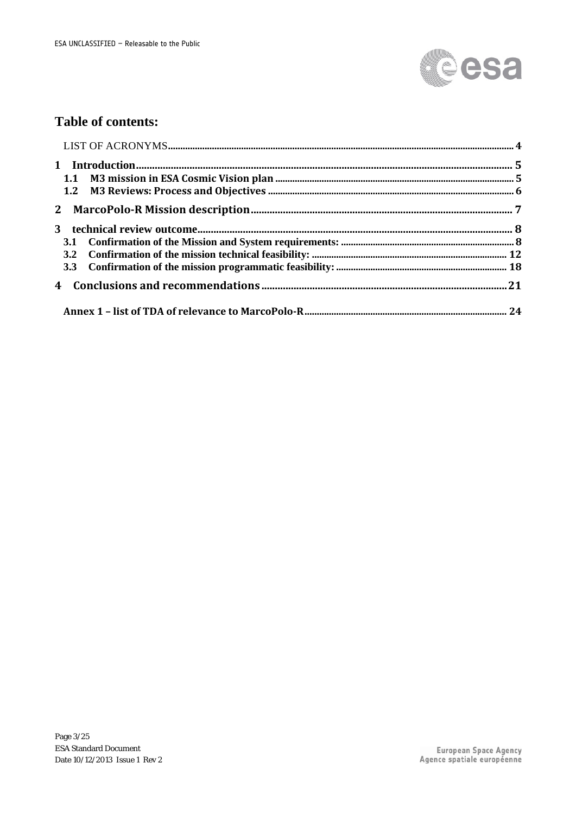

## **Table of contents:**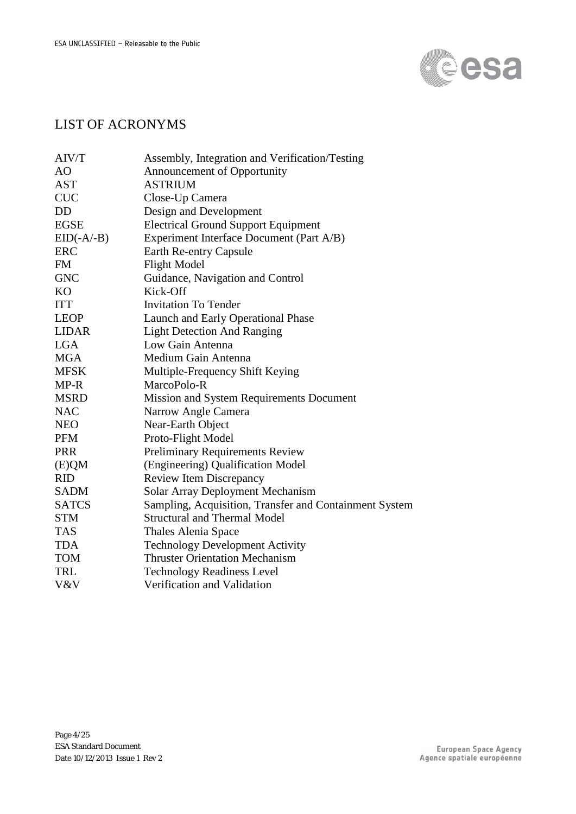

## LIST OF ACRONYMS

| AIV/T          | Assembly, Integration and Verification/Testing         |
|----------------|--------------------------------------------------------|
| A <sub>O</sub> | Announcement of Opportunity                            |
| <b>AST</b>     | <b>ASTRIUM</b>                                         |
| <b>CUC</b>     | Close-Up Camera                                        |
| DD             | Design and Development                                 |
| <b>EGSE</b>    | <b>Electrical Ground Support Equipment</b>             |
| $EID(-A/-B)$   | Experiment Interface Document (Part A/B)               |
| <b>ERC</b>     | Earth Re-entry Capsule                                 |
| <b>FM</b>      | <b>Flight Model</b>                                    |
| <b>GNC</b>     | Guidance, Navigation and Control                       |
| <b>KO</b>      | Kick-Off                                               |
| <b>ITT</b>     | <b>Invitation To Tender</b>                            |
| <b>LEOP</b>    | Launch and Early Operational Phase                     |
| LIDAR          | <b>Light Detection And Ranging</b>                     |
| LGA            | Low Gain Antenna                                       |
| <b>MGA</b>     | Medium Gain Antenna                                    |
| <b>MFSK</b>    | Multiple-Frequency Shift Keying                        |
| MP-R           | MarcoPolo-R                                            |
| <b>MSRD</b>    | Mission and System Requirements Document               |
| <b>NAC</b>     | Narrow Angle Camera                                    |
| <b>NEO</b>     | Near-Earth Object                                      |
| <b>PFM</b>     | Proto-Flight Model                                     |
| <b>PRR</b>     | <b>Preliminary Requirements Review</b>                 |
| (E)QM          | (Engineering) Qualification Model                      |
| <b>RID</b>     | <b>Review Item Discrepancy</b>                         |
| <b>SADM</b>    | Solar Array Deployment Mechanism                       |
| <b>SATCS</b>   | Sampling, Acquisition, Transfer and Containment System |
| <b>STM</b>     | <b>Structural and Thermal Model</b>                    |
| <b>TAS</b>     | Thales Alenia Space                                    |
| <b>TDA</b>     | <b>Technology Development Activity</b>                 |
| <b>TOM</b>     | <b>Thruster Orientation Mechanism</b>                  |
| TRL            | <b>Technology Readiness Level</b>                      |
| V&V            | Verification and Validation                            |
|                |                                                        |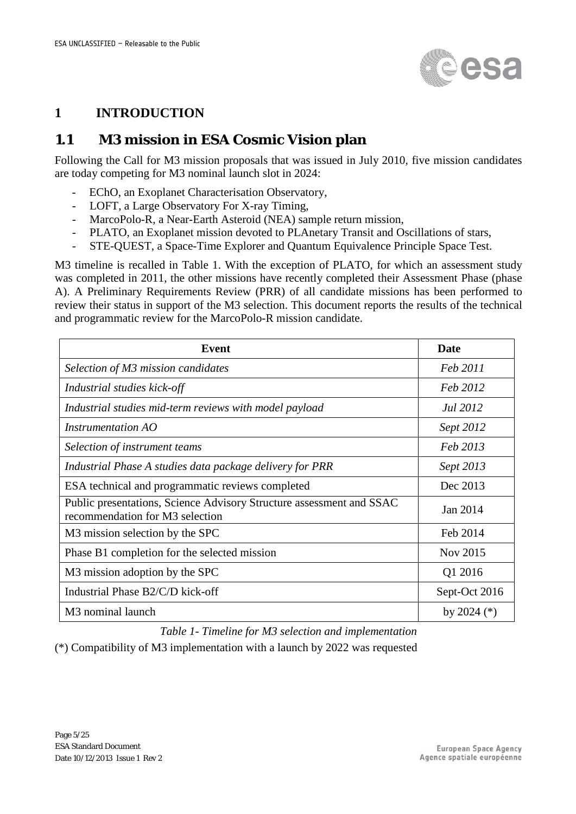

### **1 INTRODUCTION**

## **1.1 M3 mission in ESA Cosmic Vision plan**

Following the Call for M3 mission proposals that was issued in July 2010, five mission candidates are today competing for M3 nominal launch slot in 2024:

- EChO, an Exoplanet Characterisation Observatory,
- LOFT, a Large Observatory For X-ray Timing,
- MarcoPolo-R, a Near-Earth Asteroid (NEA) sample return mission,
- PLATO, an Exoplanet mission devoted to PLAnetary Transit and Oscillations of stars,
- STE-QUEST, a Space-Time Explorer and Quantum Equivalence Principle Space Test.

M3 timeline is recalled in Table 1. With the exception of PLATO, for which an assessment study was completed in 2011, the other missions have recently completed their Assessment Phase (phase A). A Preliminary Requirements Review (PRR) of all candidate missions has been performed to review their status in support of the M3 selection. This document reports the results of the technical and programmatic review for the MarcoPolo-R mission candidate.

| <b>Event</b>                                                                                            | <b>Date</b>   |
|---------------------------------------------------------------------------------------------------------|---------------|
| Selection of M3 mission candidates                                                                      | Feb 2011      |
| Industrial studies kick-off                                                                             | Feb 2012      |
| Industrial studies mid-term reviews with model payload                                                  | Jul 2012      |
| Instrumentation AO                                                                                      | Sept 2012     |
| Selection of instrument teams                                                                           | Feb 2013      |
| Industrial Phase A studies data package delivery for PRR                                                | Sept 2013     |
| ESA technical and programmatic reviews completed                                                        | Dec 2013      |
| Public presentations, Science Advisory Structure assessment and SSAC<br>recommendation for M3 selection | Jan 2014      |
| M3 mission selection by the SPC                                                                         | Feb 2014      |
| Phase B1 completion for the selected mission                                                            | Nov 2015      |
| M3 mission adoption by the SPC                                                                          | Q1 2016       |
| Industrial Phase B2/C/D kick-off                                                                        | Sept-Oct 2016 |
| M <sub>3</sub> nominal launch                                                                           | by 2024 $(*)$ |

*Table 1- Timeline for M3 selection and implementation*

(\*) Compatibility of M3 implementation with a launch by 2022 was requested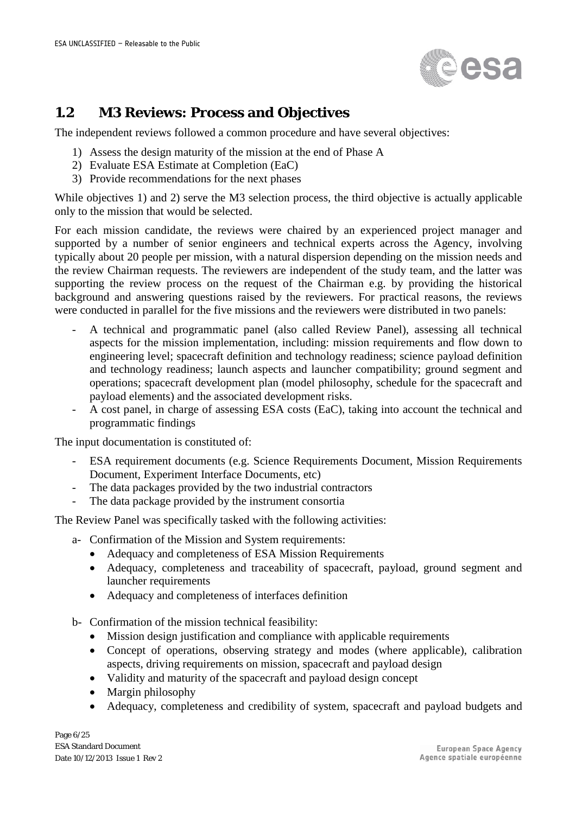

## **1.2 M3 Reviews: Process and Objectives**

The independent reviews followed a common procedure and have several objectives:

- 1) Assess the design maturity of the mission at the end of Phase A
- 2) Evaluate ESA Estimate at Completion (EaC)
- 3) Provide recommendations for the next phases

While objectives 1) and 2) serve the M3 selection process, the third objective is actually applicable only to the mission that would be selected.

For each mission candidate, the reviews were chaired by an experienced project manager and supported by a number of senior engineers and technical experts across the Agency, involving typically about 20 people per mission, with a natural dispersion depending on the mission needs and the review Chairman requests. The reviewers are independent of the study team, and the latter was supporting the review process on the request of the Chairman e.g. by providing the historical background and answering questions raised by the reviewers. For practical reasons, the reviews were conducted in parallel for the five missions and the reviewers were distributed in two panels:

- A technical and programmatic panel (also called Review Panel), assessing all technical aspects for the mission implementation, including: mission requirements and flow down to engineering level; spacecraft definition and technology readiness; science payload definition and technology readiness; launch aspects and launcher compatibility; ground segment and operations; spacecraft development plan (model philosophy, schedule for the spacecraft and payload elements) and the associated development risks.
- A cost panel, in charge of assessing ESA costs (EaC), taking into account the technical and programmatic findings

The input documentation is constituted of:

- ESA requirement documents (e.g. Science Requirements Document, Mission Requirements Document, Experiment Interface Documents, etc)
- The data packages provided by the two industrial contractors
- The data package provided by the instrument consortia

The Review Panel was specifically tasked with the following activities:

- a- Confirmation of the Mission and System requirements:
	- Adequacy and completeness of ESA Mission Requirements
	- Adequacy, completeness and traceability of spacecraft, payload, ground segment and launcher requirements
	- Adequacy and completeness of interfaces definition
- b- Confirmation of the mission technical feasibility:
	- Mission design justification and compliance with applicable requirements
	- Concept of operations, observing strategy and modes (where applicable), calibration aspects, driving requirements on mission, spacecraft and payload design
	- Validity and maturity of the spacecraft and payload design concept
	- Margin philosophy
	- Adequacy, completeness and credibility of system, spacecraft and payload budgets and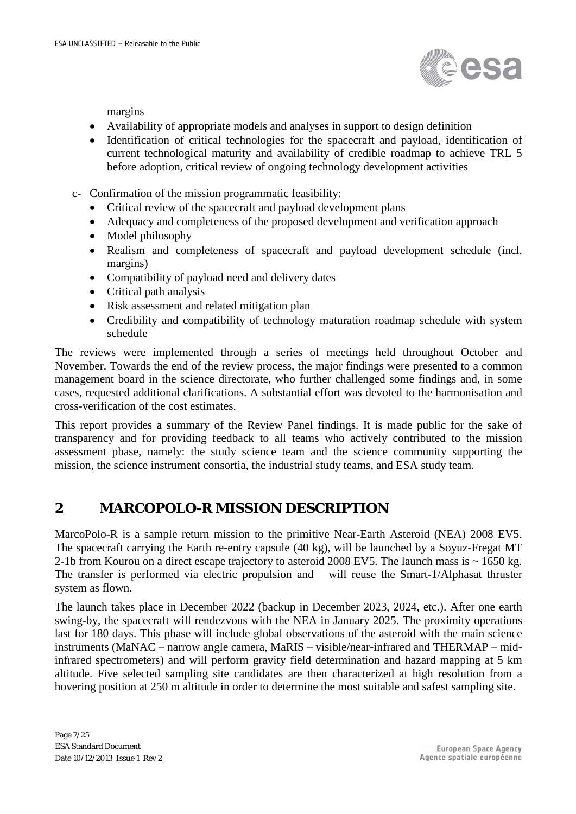

margins

- Availability of appropriate models and analyses in support to design definition
- Identification of critical technologies for the spacecraft and payload, identification of current technological maturity and availability of credible roadmap to achieve TRL 5 before adoption, critical review of ongoing technology development activities
- c- Confirmation of the mission programmatic feasibility:
	- Critical review of the spacecraft and payload development plans
	- Adequacy and completeness of the proposed development and verification approach
	- Model philosophy
	- Realism and completeness of spacecraft and payload development schedule (incl. margins)
	- Compatibility of payload need and delivery dates
	- Critical path analysis
	- Risk assessment and related mitigation plan
	- Credibility and compatibility of technology maturation roadmap schedule with system schedule

The reviews were implemented through a series of meetings held throughout October and November. Towards the end of the review process, the major findings were presented to a common management board in the science directorate, who further challenged some findings and, in some cases, requested additional clarifications. A substantial effort was devoted to the harmonisation and cross-verification of the cost estimates.

This report provides a summary of the Review Panel findings. It is made public for the sake of transparency and for providing feedback to all teams who actively contributed to the mission assessment phase, namely: the study science team and the science community supporting the mission, the science instrument consortia, the industrial study teams, and ESA study team.

### **2 MARCOPOLO-R MISSION DESCRIPTION**

MarcoPolo-R is a sample return mission to the primitive Near-Earth Asteroid (NEA) 2008 EV5. The spacecraft carrying the Earth re-entry capsule (40 kg), will be launched by a Soyuz-Fregat MT 2-1b from Kourou on a direct escape trajectory to asteroid 2008 EV5. The launch mass is ~ 1650 kg. The transfer is performed via electric propulsion and will reuse the Smart-1/Alphasat thruster system as flown.

The launch takes place in December 2022 (backup in December 2023, 2024, etc.). After one earth swing-by, the spacecraft will rendezvous with the NEA in January 2025. The proximity operations last for 180 days. This phase will include global observations of the asteroid with the main science instruments (MaNAC – narrow angle camera, MaRIS – visible/near-infrared and THERMAP – midinfrared spectrometers) and will perform gravity field determination and hazard mapping at 5 km altitude. Five selected sampling site candidates are then characterized at high resolution from a hovering position at 250 m altitude in order to determine the most suitable and safest sampling site.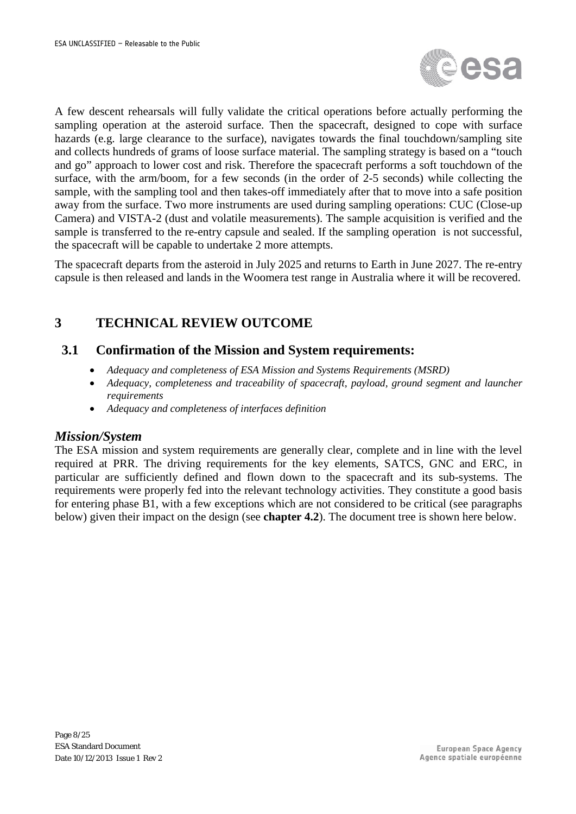

A few descent rehearsals will fully validate the critical operations before actually performing the sampling operation at the asteroid surface. Then the spacecraft, designed to cope with surface hazards (e.g. large clearance to the surface), navigates towards the final touchdown/sampling site and collects hundreds of grams of loose surface material. The sampling strategy is based on a "touch and go" approach to lower cost and risk. Therefore the spacecraft performs a soft touchdown of the surface, with the arm/boom, for a few seconds (in the order of 2-5 seconds) while collecting the sample, with the sampling tool and then takes-off immediately after that to move into a safe position away from the surface. Two more instruments are used during sampling operations: CUC (Close-up Camera) and VISTA-2 (dust and volatile measurements). The sample acquisition is verified and the sample is transferred to the re-entry capsule and sealed. If the sampling operation is not successful, the spacecraft will be capable to undertake 2 more attempts.

The spacecraft departs from the asteroid in July 2025 and returns to Earth in June 2027. The re-entry capsule is then released and lands in the Woomera test range in Australia where it will be recovered.

## **3 TECHNICAL REVIEW OUTCOME**

#### **3.1 Confirmation of the Mission and System requirements:**

- *Adequacy and completeness of ESA Mission and Systems Requirements (MSRD)*
- *Adequacy, completeness and traceability of spacecraft, payload, ground segment and launcher requirements*
- *Adequacy and completeness of interfaces definition*

#### *Mission/System*

The ESA mission and system requirements are generally clear, complete and in line with the level required at PRR. The driving requirements for the key elements, SATCS, GNC and ERC, in particular are sufficiently defined and flown down to the spacecraft and its sub-systems. The requirements were properly fed into the relevant technology activities. They constitute a good basis for entering phase B1, with a few exceptions which are not considered to be critical (see paragraphs below) given their impact on the design (see **chapter 4.2**). The document tree is shown here below.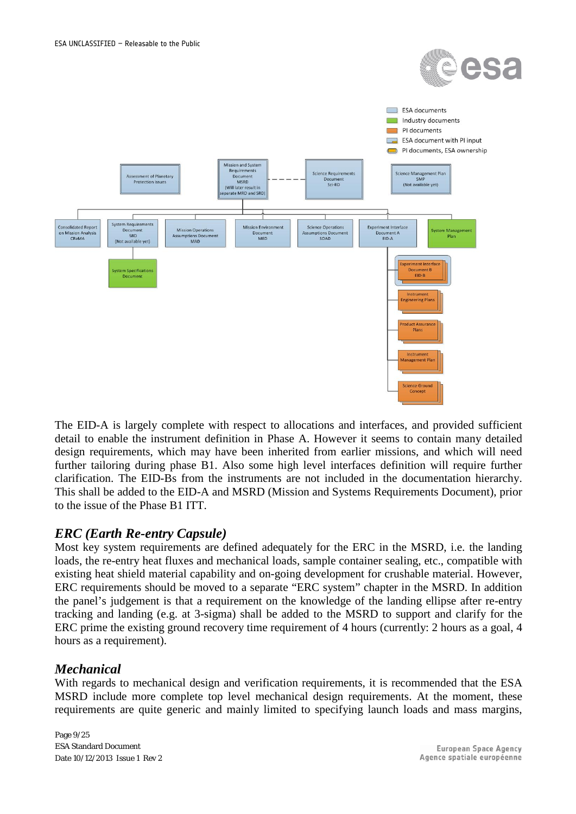



The EID-A is largely complete with respect to allocations and interfaces, and provided sufficient detail to enable the instrument definition in Phase A. However it seems to contain many detailed design requirements, which may have been inherited from earlier missions, and which will need further tailoring during phase B1. Also some high level interfaces definition will require further clarification. The EID-Bs from the instruments are not included in the documentation hierarchy. This shall be added to the EID-A and MSRD (Mission and Systems Requirements Document), prior to the issue of the Phase B1 ITT.

#### *ERC (Earth Re-entry Capsule)*

Most key system requirements are defined adequately for the ERC in the MSRD, i.e. the landing loads, the re-entry heat fluxes and mechanical loads, sample container sealing, etc., compatible with existing heat shield material capability and on-going development for crushable material. However, ERC requirements should be moved to a separate "ERC system" chapter in the MSRD. In addition the panel's judgement is that a requirement on the knowledge of the landing ellipse after re-entry tracking and landing (e.g. at 3-sigma) shall be added to the MSRD to support and clarify for the ERC prime the existing ground recovery time requirement of 4 hours (currently: 2 hours as a goal, 4 hours as a requirement).

#### *Mechanical*

With regards to mechanical design and verification requirements, it is recommended that the ESA MSRD include more complete top level mechanical design requirements. At the moment, these requirements are quite generic and mainly limited to specifying launch loads and mass margins,

Page 9/25 ESA Standard Document Date 10/12/2013 Issue 1 Rev 2

**European Space Agency** Agence spatiale européenne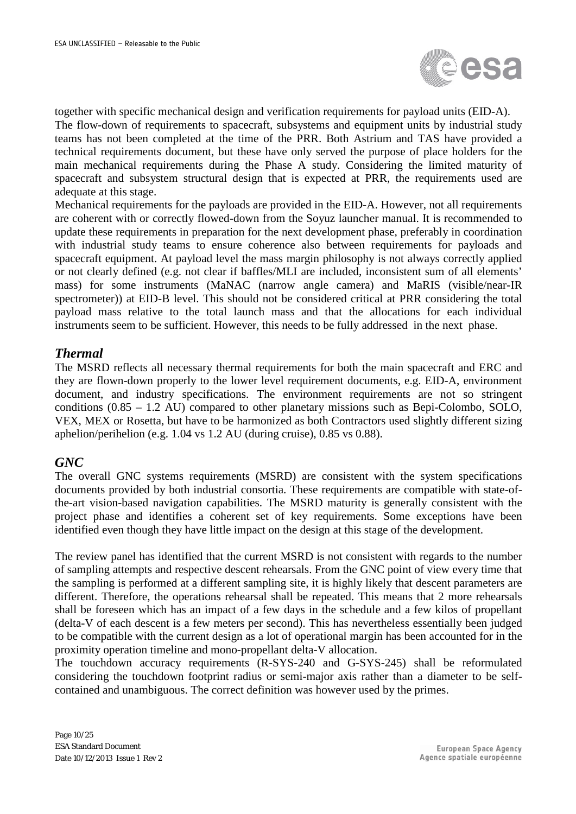

together with specific mechanical design and verification requirements for payload units (EID-A). The flow-down of requirements to spacecraft, subsystems and equipment units by industrial study teams has not been completed at the time of the PRR. Both Astrium and TAS have provided a technical requirements document, but these have only served the purpose of place holders for the main mechanical requirements during the Phase A study. Considering the limited maturity of spacecraft and subsystem structural design that is expected at PRR, the requirements used are adequate at this stage.

Mechanical requirements for the payloads are provided in the EID-A. However, not all requirements are coherent with or correctly flowed-down from the Soyuz launcher manual. It is recommended to update these requirements in preparation for the next development phase, preferably in coordination with industrial study teams to ensure coherence also between requirements for payloads and spacecraft equipment. At payload level the mass margin philosophy is not always correctly applied or not clearly defined (e.g. not clear if baffles/MLI are included, inconsistent sum of all elements' mass) for some instruments (MaNAC (narrow angle camera) and MaRIS (visible/near-IR spectrometer)) at EID-B level. This should not be considered critical at PRR considering the total payload mass relative to the total launch mass and that the allocations for each individual instruments seem to be sufficient. However, this needs to be fully addressed in the next phase.

#### *Thermal*

The MSRD reflects all necessary thermal requirements for both the main spacecraft and ERC and they are flown-down properly to the lower level requirement documents, e.g. EID-A, environment document, and industry specifications. The environment requirements are not so stringent conditions (0.85 – 1.2 AU) compared to other planetary missions such as Bepi-Colombo, SOLO, VEX, MEX or Rosetta, but have to be harmonized as both Contractors used slightly different sizing aphelion/perihelion (e.g. 1.04 vs 1.2 AU (during cruise), 0.85 vs 0.88).

#### *GNC*

The overall GNC systems requirements (MSRD) are consistent with the system specifications documents provided by both industrial consortia. These requirements are compatible with state-ofthe-art vision-based navigation capabilities. The MSRD maturity is generally consistent with the project phase and identifies a coherent set of key requirements. Some exceptions have been identified even though they have little impact on the design at this stage of the development.

The review panel has identified that the current MSRD is not consistent with regards to the number of sampling attempts and respective descent rehearsals. From the GNC point of view every time that the sampling is performed at a different sampling site, it is highly likely that descent parameters are different. Therefore, the operations rehearsal shall be repeated. This means that 2 more rehearsals shall be foreseen which has an impact of a few days in the schedule and a few kilos of propellant (delta-V of each descent is a few meters per second). This has nevertheless essentially been judged to be compatible with the current design as a lot of operational margin has been accounted for in the proximity operation timeline and mono-propellant delta-V allocation.

The touchdown accuracy requirements (R-SYS-240 and G-SYS-245) shall be reformulated considering the touchdown footprint radius or semi-major axis rather than a diameter to be selfcontained and unambiguous. The correct definition was however used by the primes.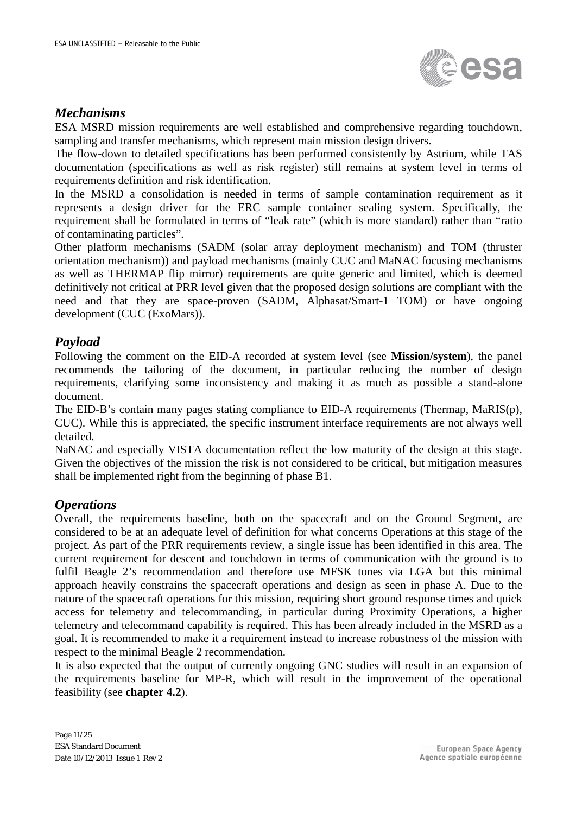

#### *Mechanisms*

ESA MSRD mission requirements are well established and comprehensive regarding touchdown, sampling and transfer mechanisms, which represent main mission design drivers.

The flow-down to detailed specifications has been performed consistently by Astrium, while TAS documentation (specifications as well as risk register) still remains at system level in terms of requirements definition and risk identification.

In the MSRD a consolidation is needed in terms of sample contamination requirement as it represents a design driver for the ERC sample container sealing system. Specifically, the requirement shall be formulated in terms of "leak rate" (which is more standard) rather than "ratio of contaminating particles".

Other platform mechanisms (SADM (solar array deployment mechanism) and TOM (thruster orientation mechanism)) and payload mechanisms (mainly CUC and MaNAC focusing mechanisms as well as THERMAP flip mirror) requirements are quite generic and limited, which is deemed definitively not critical at PRR level given that the proposed design solutions are compliant with the need and that they are space-proven (SADM, Alphasat/Smart-1 TOM) or have ongoing development (CUC (ExoMars)).

#### *Payload*

Following the comment on the EID-A recorded at system level (see **Mission/system**), the panel recommends the tailoring of the document, in particular reducing the number of design requirements, clarifying some inconsistency and making it as much as possible a stand-alone document.

The EID-B's contain many pages stating compliance to EID-A requirements (Thermap, MaRIS(p), CUC). While this is appreciated, the specific instrument interface requirements are not always well detailed.

NaNAC and especially VISTA documentation reflect the low maturity of the design at this stage. Given the objectives of the mission the risk is not considered to be critical, but mitigation measures shall be implemented right from the beginning of phase B1.

#### *Operations*

Overall, the requirements baseline, both on the spacecraft and on the Ground Segment, are considered to be at an adequate level of definition for what concerns Operations at this stage of the project. As part of the PRR requirements review, a single issue has been identified in this area. The current requirement for descent and touchdown in terms of communication with the ground is to fulfil Beagle 2's recommendation and therefore use MFSK tones via LGA but this minimal approach heavily constrains the spacecraft operations and design as seen in phase A. Due to the nature of the spacecraft operations for this mission, requiring short ground response times and quick access for telemetry and telecommanding, in particular during Proximity Operations, a higher telemetry and telecommand capability is required. This has been already included in the MSRD as a goal. It is recommended to make it a requirement instead to increase robustness of the mission with respect to the minimal Beagle 2 recommendation.

It is also expected that the output of currently ongoing GNC studies will result in an expansion of the requirements baseline for MP-R, which will result in the improvement of the operational feasibility (see **chapter 4.2**).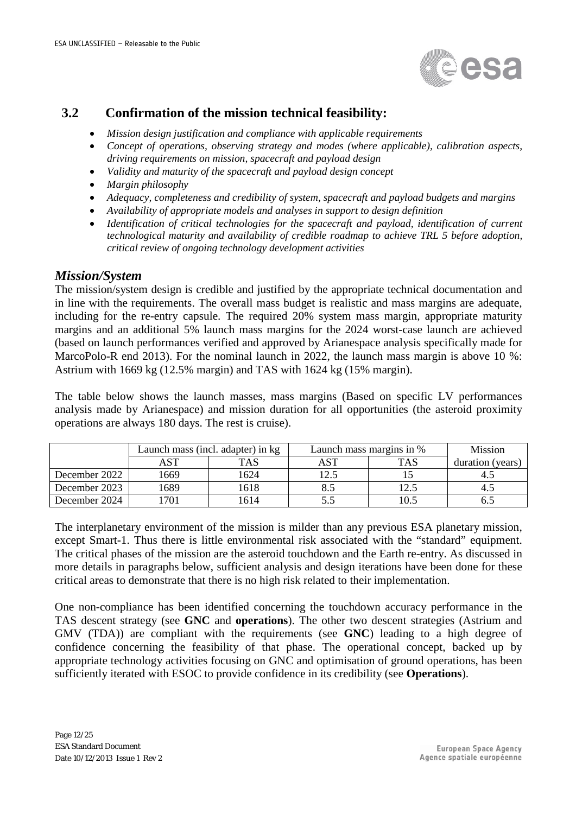

#### **3.2 Confirmation of the mission technical feasibility:**

- *Mission design justification and compliance with applicable requirements*
- *Concept of operations, observing strategy and modes (where applicable), calibration aspects, driving requirements on mission, spacecraft and payload design*
- *Validity and maturity of the spacecraft and payload design concept*
- *Margin philosophy*
- *Adequacy, completeness and credibility of system, spacecraft and payload budgets and margins*
- *Availability of appropriate models and analyses in support to design definition*
- *Identification of critical technologies for the spacecraft and payload, identification of current technological maturity and availability of credible roadmap to achieve TRL 5 before adoption, critical review of ongoing technology development activities*

#### *Mission/System*

The mission/system design is credible and justified by the appropriate technical documentation and in line with the requirements. The overall mass budget is realistic and mass margins are adequate, including for the re-entry capsule. The required 20% system mass margin, appropriate maturity margins and an additional 5% launch mass margins for the 2024 worst-case launch are achieved (based on launch performances verified and approved by Arianespace analysis specifically made for MarcoPolo-R end 2013). For the nominal launch in 2022, the launch mass margin is above 10 %: Astrium with 1669 kg (12.5% margin) and TAS with 1624 kg (15% margin).

The table below shows the launch masses, mass margins (Based on specific LV performances analysis made by Arianespace) and mission duration for all opportunities (the asteroid proximity operations are always 180 days. The rest is cruise).

|               |      | Launch mass (incl. adapter) in kg | Launch mass margins in % | <b>Mission</b> |                  |
|---------------|------|-----------------------------------|--------------------------|----------------|------------------|
|               | AST  | TAS                               | AST                      | TAS            | duration (years) |
| December 2022 | 1669 | 1624                              | 12.5                     |                |                  |
| December 2023 | 1689 | 1618                              |                          | 12.5           | 4.               |
| December 2024 | 701  | 1614                              |                          | 10.5           |                  |

The interplanetary environment of the mission is milder than any previous ESA planetary mission, except Smart-1. Thus there is little environmental risk associated with the "standard" equipment. The critical phases of the mission are the asteroid touchdown and the Earth re-entry. As discussed in more details in paragraphs below, sufficient analysis and design iterations have been done for these critical areas to demonstrate that there is no high risk related to their implementation.

One non-compliance has been identified concerning the touchdown accuracy performance in the TAS descent strategy (see **GNC** and **operations**). The other two descent strategies (Astrium and GMV (TDA)) are compliant with the requirements (see **GNC**) leading to a high degree of confidence concerning the feasibility of that phase. The operational concept, backed up by appropriate technology activities focusing on GNC and optimisation of ground operations, has been sufficiently iterated with ESOC to provide confidence in its credibility (see **Operations**).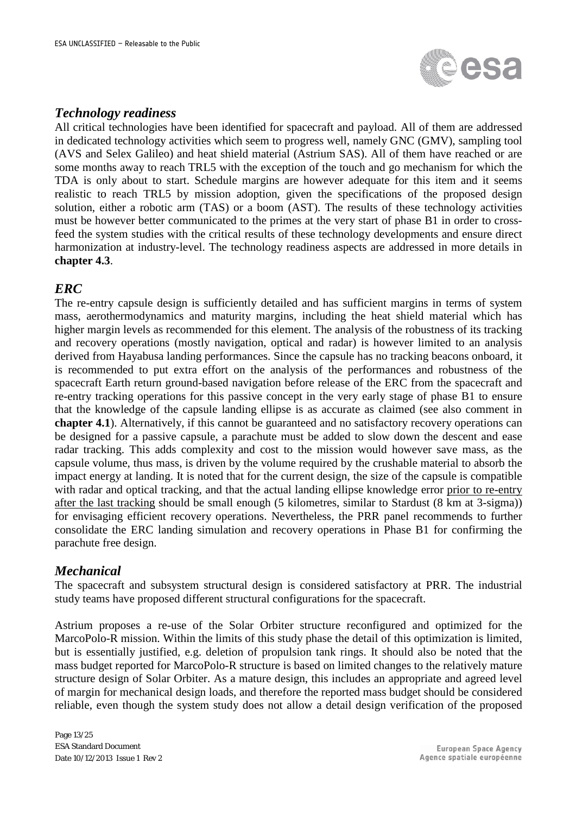

#### *Technology readiness*

All critical technologies have been identified for spacecraft and payload. All of them are addressed in dedicated technology activities which seem to progress well, namely GNC (GMV), sampling tool (AVS and Selex Galileo) and heat shield material (Astrium SAS). All of them have reached or are some months away to reach TRL5 with the exception of the touch and go mechanism for which the TDA is only about to start. Schedule margins are however adequate for this item and it seems realistic to reach TRL5 by mission adoption, given the specifications of the proposed design solution, either a robotic arm (TAS) or a boom (AST). The results of these technology activities must be however better communicated to the primes at the very start of phase B1 in order to crossfeed the system studies with the critical results of these technology developments and ensure direct harmonization at industry-level. The technology readiness aspects are addressed in more details in **chapter 4.3**.

#### *ERC*

The re-entry capsule design is sufficiently detailed and has sufficient margins in terms of system mass, aerothermodynamics and maturity margins, including the heat shield material which has higher margin levels as recommended for this element. The analysis of the robustness of its tracking and recovery operations (mostly navigation, optical and radar) is however limited to an analysis derived from Hayabusa landing performances. Since the capsule has no tracking beacons onboard, it is recommended to put extra effort on the analysis of the performances and robustness of the spacecraft Earth return ground-based navigation before release of the ERC from the spacecraft and re-entry tracking operations for this passive concept in the very early stage of phase B1 to ensure that the knowledge of the capsule landing ellipse is as accurate as claimed (see also comment in **chapter 4.1**). Alternatively, if this cannot be guaranteed and no satisfactory recovery operations can be designed for a passive capsule, a parachute must be added to slow down the descent and ease radar tracking. This adds complexity and cost to the mission would however save mass, as the capsule volume, thus mass, is driven by the volume required by the crushable material to absorb the impact energy at landing. It is noted that for the current design, the size of the capsule is compatible with radar and optical tracking, and that the actual landing ellipse knowledge error prior to re-entry after the last tracking should be small enough (5 kilometres, similar to Stardust (8 km at 3-sigma)) for envisaging efficient recovery operations. Nevertheless, the PRR panel recommends to further consolidate the ERC landing simulation and recovery operations in Phase B1 for confirming the parachute free design.

#### *Mechanical*

The spacecraft and subsystem structural design is considered satisfactory at PRR. The industrial study teams have proposed different structural configurations for the spacecraft.

Astrium proposes a re-use of the Solar Orbiter structure reconfigured and optimized for the MarcoPolo-R mission. Within the limits of this study phase the detail of this optimization is limited, but is essentially justified, e.g. deletion of propulsion tank rings. It should also be noted that the mass budget reported for MarcoPolo-R structure is based on limited changes to the relatively mature structure design of Solar Orbiter. As a mature design, this includes an appropriate and agreed level of margin for mechanical design loads, and therefore the reported mass budget should be considered reliable, even though the system study does not allow a detail design verification of the proposed

Page 13/25 ESA Standard Document Date 10/12/2013 Issue 1 Rev 2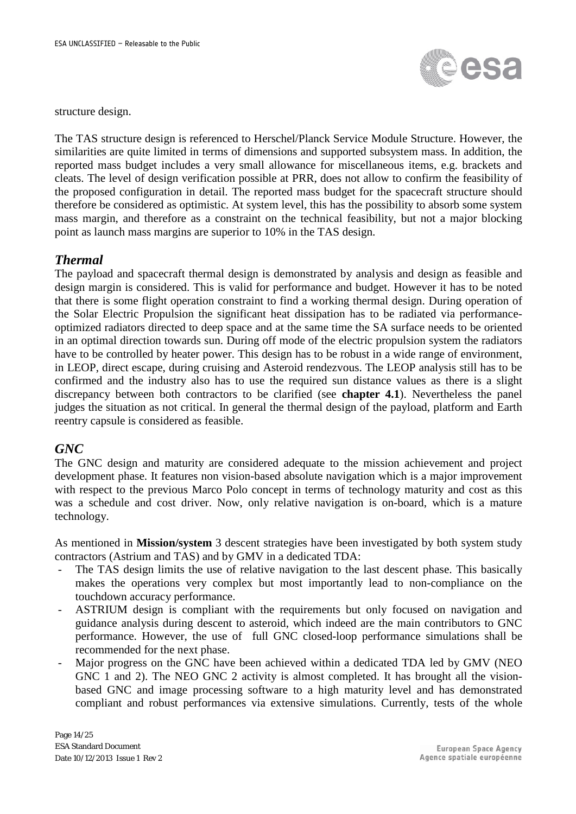

structure design.

The TAS structure design is referenced to Herschel/Planck Service Module Structure. However, the similarities are quite limited in terms of dimensions and supported subsystem mass. In addition, the reported mass budget includes a very small allowance for miscellaneous items, e.g. brackets and cleats. The level of design verification possible at PRR, does not allow to confirm the feasibility of the proposed configuration in detail. The reported mass budget for the spacecraft structure should therefore be considered as optimistic. At system level, this has the possibility to absorb some system mass margin, and therefore as a constraint on the technical feasibility, but not a major blocking point as launch mass margins are superior to 10% in the TAS design.

#### *Thermal*

The payload and spacecraft thermal design is demonstrated by analysis and design as feasible and design margin is considered. This is valid for performance and budget. However it has to be noted that there is some flight operation constraint to find a working thermal design. During operation of the Solar Electric Propulsion the significant heat dissipation has to be radiated via performanceoptimized radiators directed to deep space and at the same time the SA surface needs to be oriented in an optimal direction towards sun. During off mode of the electric propulsion system the radiators have to be controlled by heater power. This design has to be robust in a wide range of environment, in LEOP, direct escape, during cruising and Asteroid rendezvous. The LEOP analysis still has to be confirmed and the industry also has to use the required sun distance values as there is a slight discrepancy between both contractors to be clarified (see **chapter 4.1**). Nevertheless the panel judges the situation as not critical. In general the thermal design of the payload, platform and Earth reentry capsule is considered as feasible.

#### *GNC*

The GNC design and maturity are considered adequate to the mission achievement and project development phase. It features non vision-based absolute navigation which is a major improvement with respect to the previous Marco Polo concept in terms of technology maturity and cost as this was a schedule and cost driver. Now, only relative navigation is on-board, which is a mature technology.

As mentioned in **Mission/system** 3 descent strategies have been investigated by both system study contractors (Astrium and TAS) and by GMV in a dedicated TDA:

- The TAS design limits the use of relative navigation to the last descent phase. This basically makes the operations very complex but most importantly lead to non-compliance on the touchdown accuracy performance.
- ASTRIUM design is compliant with the requirements but only focused on navigation and guidance analysis during descent to asteroid, which indeed are the main contributors to GNC performance. However, the use of full GNC closed-loop performance simulations shall be recommended for the next phase.
- Major progress on the GNC have been achieved within a dedicated TDA led by GMV (NEO GNC 1 and 2). The NEO GNC 2 activity is almost completed. It has brought all the visionbased GNC and image processing software to a high maturity level and has demonstrated compliant and robust performances via extensive simulations. Currently, tests of the whole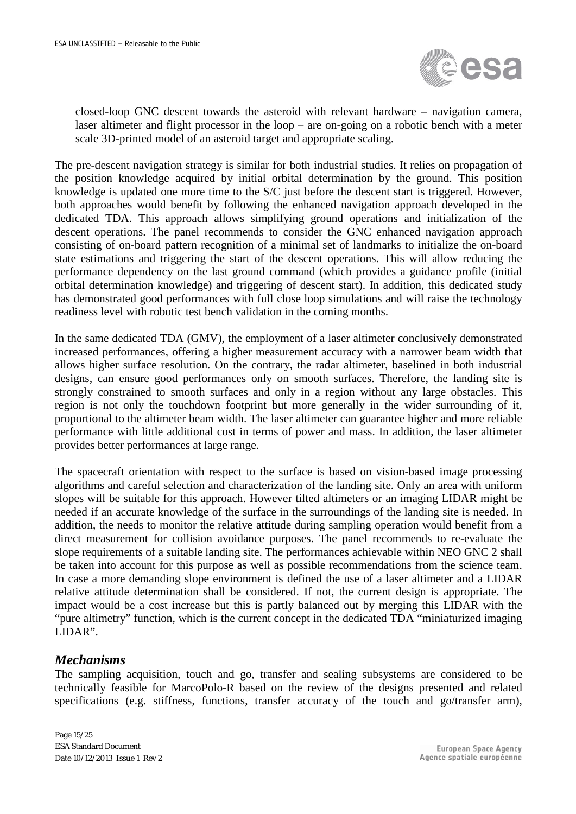

closed-loop GNC descent towards the asteroid with relevant hardware – navigation camera, laser altimeter and flight processor in the loop – are on-going on a robotic bench with a meter scale 3D-printed model of an asteroid target and appropriate scaling.

The pre-descent navigation strategy is similar for both industrial studies. It relies on propagation of the position knowledge acquired by initial orbital determination by the ground. This position knowledge is updated one more time to the S/C just before the descent start is triggered. However, both approaches would benefit by following the enhanced navigation approach developed in the dedicated TDA. This approach allows simplifying ground operations and initialization of the descent operations. The panel recommends to consider the GNC enhanced navigation approach consisting of on-board pattern recognition of a minimal set of landmarks to initialize the on-board state estimations and triggering the start of the descent operations. This will allow reducing the performance dependency on the last ground command (which provides a guidance profile (initial orbital determination knowledge) and triggering of descent start). In addition, this dedicated study has demonstrated good performances with full close loop simulations and will raise the technology readiness level with robotic test bench validation in the coming months.

In the same dedicated TDA (GMV), the employment of a laser altimeter conclusively demonstrated increased performances, offering a higher measurement accuracy with a narrower beam width that allows higher surface resolution. On the contrary, the radar altimeter, baselined in both industrial designs, can ensure good performances only on smooth surfaces. Therefore, the landing site is strongly constrained to smooth surfaces and only in a region without any large obstacles. This region is not only the touchdown footprint but more generally in the wider surrounding of it, proportional to the altimeter beam width. The laser altimeter can guarantee higher and more reliable performance with little additional cost in terms of power and mass. In addition, the laser altimeter provides better performances at large range.

The spacecraft orientation with respect to the surface is based on vision-based image processing algorithms and careful selection and characterization of the landing site. Only an area with uniform slopes will be suitable for this approach. However tilted altimeters or an imaging LIDAR might be needed if an accurate knowledge of the surface in the surroundings of the landing site is needed. In addition, the needs to monitor the relative attitude during sampling operation would benefit from a direct measurement for collision avoidance purposes. The panel recommends to re-evaluate the slope requirements of a suitable landing site. The performances achievable within NEO GNC 2 shall be taken into account for this purpose as well as possible recommendations from the science team. In case a more demanding slope environment is defined the use of a laser altimeter and a LIDAR relative attitude determination shall be considered. If not, the current design is appropriate. The impact would be a cost increase but this is partly balanced out by merging this LIDAR with the "pure altimetry" function, which is the current concept in the dedicated TDA "miniaturized imaging LIDAR".

#### *Mechanisms*

The sampling acquisition, touch and go, transfer and sealing subsystems are considered to be technically feasible for MarcoPolo-R based on the review of the designs presented and related specifications (e.g. stiffness, functions, transfer accuracy of the touch and go/transfer arm),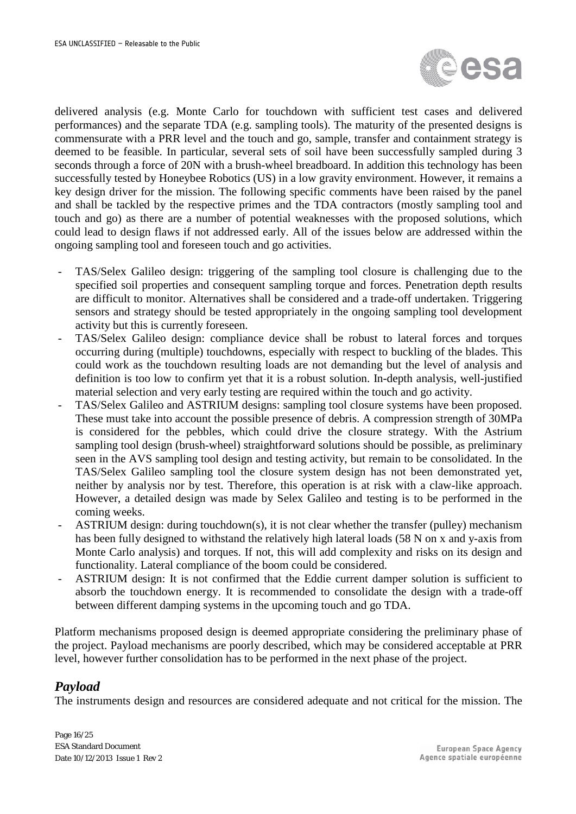

delivered analysis (e.g. Monte Carlo for touchdown with sufficient test cases and delivered performances) and the separate TDA (e.g. sampling tools). The maturity of the presented designs is commensurate with a PRR level and the touch and go, sample, transfer and containment strategy is deemed to be feasible. In particular, several sets of soil have been successfully sampled during 3 seconds through a force of 20N with a brush-wheel breadboard. In addition this technology has been successfully tested by Honeybee Robotics (US) in a low gravity environment. However, it remains a key design driver for the mission. The following specific comments have been raised by the panel and shall be tackled by the respective primes and the TDA contractors (mostly sampling tool and touch and go) as there are a number of potential weaknesses with the proposed solutions, which could lead to design flaws if not addressed early. All of the issues below are addressed within the ongoing sampling tool and foreseen touch and go activities.

- TAS/Selex Galileo design: triggering of the sampling tool closure is challenging due to the specified soil properties and consequent sampling torque and forces. Penetration depth results are difficult to monitor. Alternatives shall be considered and a trade-off undertaken. Triggering sensors and strategy should be tested appropriately in the ongoing sampling tool development activity but this is currently foreseen.
- TAS/Selex Galileo design: compliance device shall be robust to lateral forces and torques occurring during (multiple) touchdowns, especially with respect to buckling of the blades. This could work as the touchdown resulting loads are not demanding but the level of analysis and definition is too low to confirm yet that it is a robust solution. In-depth analysis, well-justified material selection and very early testing are required within the touch and go activity.
- TAS/Selex Galileo and ASTRIUM designs: sampling tool closure systems have been proposed. These must take into account the possible presence of debris. A compression strength of 30MPa is considered for the pebbles, which could drive the closure strategy. With the Astrium sampling tool design (brush-wheel) straightforward solutions should be possible, as preliminary seen in the AVS sampling tool design and testing activity, but remain to be consolidated. In the TAS/Selex Galileo sampling tool the closure system design has not been demonstrated yet, neither by analysis nor by test. Therefore, this operation is at risk with a claw-like approach. However, a detailed design was made by Selex Galileo and testing is to be performed in the coming weeks.
- ASTRIUM design: during touchdown(s), it is not clear whether the transfer (pulley) mechanism has been fully designed to withstand the relatively high lateral loads (58 N on x and y-axis from Monte Carlo analysis) and torques. If not, this will add complexity and risks on its design and functionality. Lateral compliance of the boom could be considered.
- ASTRIUM design: It is not confirmed that the Eddie current damper solution is sufficient to absorb the touchdown energy. It is recommended to consolidate the design with a trade-off between different damping systems in the upcoming touch and go TDA.

Platform mechanisms proposed design is deemed appropriate considering the preliminary phase of the project. Payload mechanisms are poorly described, which may be considered acceptable at PRR level, however further consolidation has to be performed in the next phase of the project.

#### *Payload*

The instruments design and resources are considered adequate and not critical for the mission. The

Page 16/25 ESA Standard Document Date 10/12/2013 Issue 1 Rev 2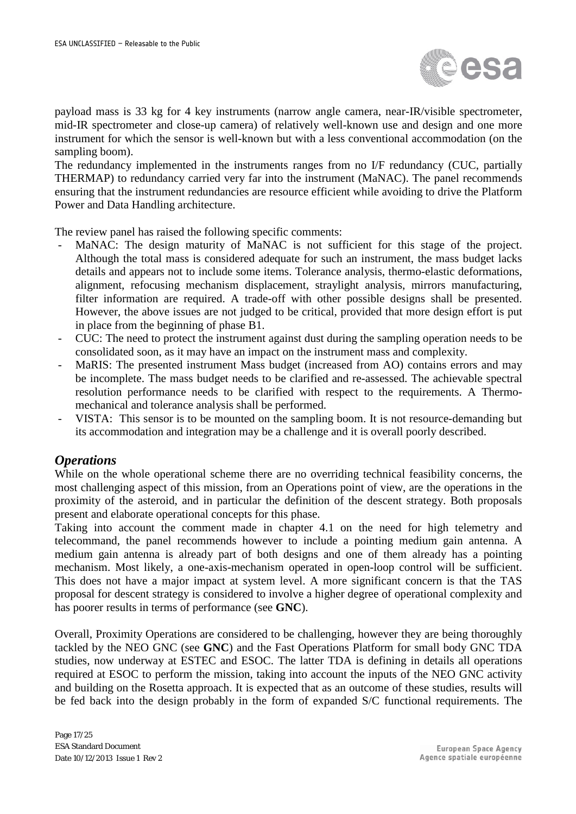

payload mass is 33 kg for 4 key instruments (narrow angle camera, near-IR/visible spectrometer, mid-IR spectrometer and close-up camera) of relatively well-known use and design and one more instrument for which the sensor is well-known but with a less conventional accommodation (on the sampling boom).

The redundancy implemented in the instruments ranges from no I/F redundancy (CUC, partially THERMAP) to redundancy carried very far into the instrument (MaNAC). The panel recommends ensuring that the instrument redundancies are resource efficient while avoiding to drive the Platform Power and Data Handling architecture.

The review panel has raised the following specific comments:

- MaNAC: The design maturity of MaNAC is not sufficient for this stage of the project. Although the total mass is considered adequate for such an instrument, the mass budget lacks details and appears not to include some items. Tolerance analysis, thermo-elastic deformations, alignment, refocusing mechanism displacement, straylight analysis, mirrors manufacturing, filter information are required. A trade-off with other possible designs shall be presented. However, the above issues are not judged to be critical, provided that more design effort is put in place from the beginning of phase B1.
- CUC: The need to protect the instrument against dust during the sampling operation needs to be consolidated soon, as it may have an impact on the instrument mass and complexity.
- MaRIS: The presented instrument Mass budget (increased from AO) contains errors and may be incomplete. The mass budget needs to be clarified and re-assessed. The achievable spectral resolution performance needs to be clarified with respect to the requirements. A Thermomechanical and tolerance analysis shall be performed.
- VISTA: This sensor is to be mounted on the sampling boom. It is not resource-demanding but its accommodation and integration may be a challenge and it is overall poorly described.

#### *Operations*

While on the whole operational scheme there are no overriding technical feasibility concerns, the most challenging aspect of this mission, from an Operations point of view, are the operations in the proximity of the asteroid, and in particular the definition of the descent strategy. Both proposals present and elaborate operational concepts for this phase.

Taking into account the comment made in chapter 4.1 on the need for high telemetry and telecommand, the panel recommends however to include a pointing medium gain antenna. A medium gain antenna is already part of both designs and one of them already has a pointing mechanism. Most likely, a one-axis-mechanism operated in open-loop control will be sufficient. This does not have a major impact at system level. A more significant concern is that the TAS proposal for descent strategy is considered to involve a higher degree of operational complexity and has poorer results in terms of performance (see **GNC**).

Overall, Proximity Operations are considered to be challenging, however they are being thoroughly tackled by the NEO GNC (see **GNC**) and the Fast Operations Platform for small body GNC TDA studies, now underway at ESTEC and ESOC. The latter TDA is defining in details all operations required at ESOC to perform the mission, taking into account the inputs of the NEO GNC activity and building on the Rosetta approach. It is expected that as an outcome of these studies, results will be fed back into the design probably in the form of expanded S/C functional requirements. The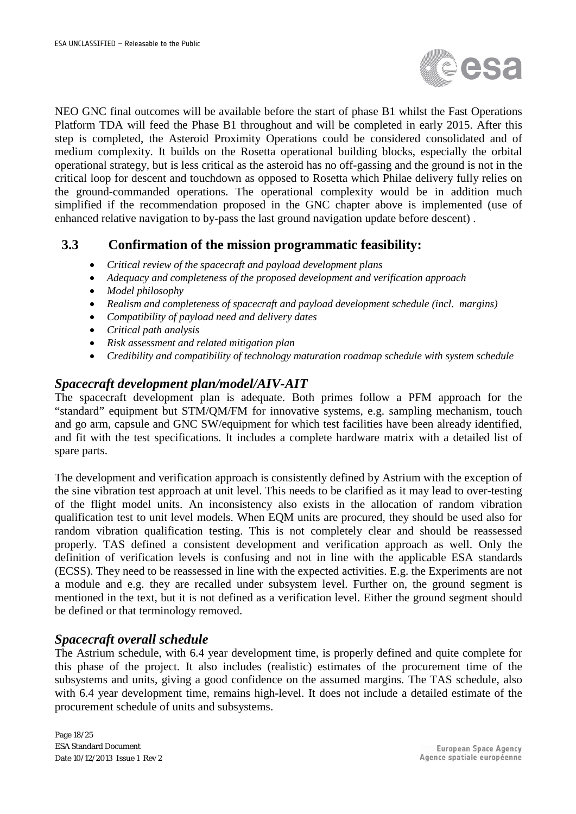

NEO GNC final outcomes will be available before the start of phase B1 whilst the Fast Operations Platform TDA will feed the Phase B1 throughout and will be completed in early 2015. After this step is completed, the Asteroid Proximity Operations could be considered consolidated and of medium complexity. It builds on the Rosetta operational building blocks, especially the orbital operational strategy, but is less critical as the asteroid has no off-gassing and the ground is not in the critical loop for descent and touchdown as opposed to Rosetta which Philae delivery fully relies on the ground-commanded operations. The operational complexity would be in addition much simplified if the recommendation proposed in the GNC chapter above is implemented (use of enhanced relative navigation to by-pass the last ground navigation update before descent) .

#### **3.3 Confirmation of the mission programmatic feasibility:**

- *Critical review of the spacecraft and payload development plans*
- *Adequacy and completeness of the proposed development and verification approach*
- *Model philosophy*
- *Realism and completeness of spacecraft and payload development schedule (incl. margins)*
- *Compatibility of payload need and delivery dates*
- *Critical path analysis*
- *Risk assessment and related mitigation plan*
- *Credibility and compatibility of technology maturation roadmap schedule with system schedule*

#### *Spacecraft development plan/model/AIV-AIT*

The spacecraft development plan is adequate. Both primes follow a PFM approach for the "standard" equipment but STM/QM/FM for innovative systems, e.g. sampling mechanism, touch and go arm, capsule and GNC SW/equipment for which test facilities have been already identified, and fit with the test specifications. It includes a complete hardware matrix with a detailed list of spare parts.

The development and verification approach is consistently defined by Astrium with the exception of the sine vibration test approach at unit level. This needs to be clarified as it may lead to over-testing of the flight model units. An inconsistency also exists in the allocation of random vibration qualification test to unit level models. When EQM units are procured, they should be used also for random vibration qualification testing. This is not completely clear and should be reassessed properly. TAS defined a consistent development and verification approach as well. Only the definition of verification levels is confusing and not in line with the applicable ESA standards (ECSS). They need to be reassessed in line with the expected activities. E.g. the Experiments are not a module and e.g. they are recalled under subsystem level. Further on, the ground segment is mentioned in the text, but it is not defined as a verification level. Either the ground segment should be defined or that terminology removed.

#### *Spacecraft overall schedule*

The Astrium schedule, with 6.4 year development time, is properly defined and quite complete for this phase of the project. It also includes (realistic) estimates of the procurement time of the subsystems and units, giving a good confidence on the assumed margins. The TAS schedule, also with 6.4 year development time, remains high-level. It does not include a detailed estimate of the procurement schedule of units and subsystems.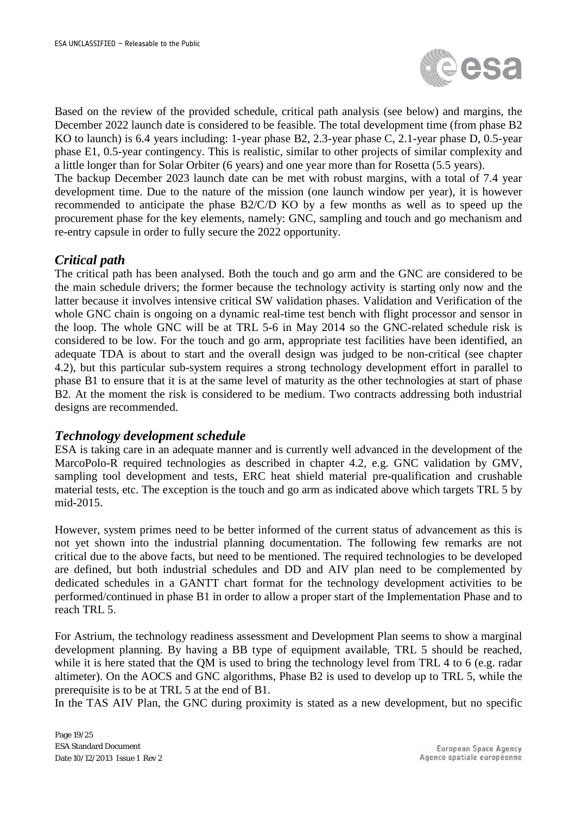

Based on the review of the provided schedule, critical path analysis (see below) and margins, the December 2022 launch date is considered to be feasible. The total development time (from phase B2 KO to launch) is 6.4 years including: 1-year phase B2, 2.3-year phase C, 2.1-year phase D, 0.5-year phase E1, 0.5-year contingency. This is realistic, similar to other projects of similar complexity and a little longer than for Solar Orbiter (6 years) and one year more than for Rosetta (5.5 years).

The backup December 2023 launch date can be met with robust margins, with a total of 7.4 year development time. Due to the nature of the mission (one launch window per year), it is however recommended to anticipate the phase B2/C/D KO by a few months as well as to speed up the procurement phase for the key elements, namely: GNC, sampling and touch and go mechanism and re-entry capsule in order to fully secure the 2022 opportunity.

#### *Critical path*

The critical path has been analysed. Both the touch and go arm and the GNC are considered to be the main schedule drivers; the former because the technology activity is starting only now and the latter because it involves intensive critical SW validation phases. Validation and Verification of the whole GNC chain is ongoing on a dynamic real-time test bench with flight processor and sensor in the loop. The whole GNC will be at TRL 5-6 in May 2014 so the GNC-related schedule risk is considered to be low. For the touch and go arm, appropriate test facilities have been identified, an adequate TDA is about to start and the overall design was judged to be non-critical (see chapter 4.2), but this particular sub-system requires a strong technology development effort in parallel to phase B1 to ensure that it is at the same level of maturity as the other technologies at start of phase B2. At the moment the risk is considered to be medium. Two contracts addressing both industrial designs are recommended.

#### *Technology development schedule*

ESA is taking care in an adequate manner and is currently well advanced in the development of the MarcoPolo-R required technologies as described in chapter 4.2, e.g. GNC validation by GMV, sampling tool development and tests, ERC heat shield material pre-qualification and crushable material tests, etc. The exception is the touch and go arm as indicated above which targets TRL 5 by mid-2015.

However, system primes need to be better informed of the current status of advancement as this is not yet shown into the industrial planning documentation. The following few remarks are not critical due to the above facts, but need to be mentioned. The required technologies to be developed are defined, but both industrial schedules and DD and AIV plan need to be complemented by dedicated schedules in a GANTT chart format for the technology development activities to be performed/continued in phase B1 in order to allow a proper start of the Implementation Phase and to reach TRL 5.

For Astrium, the technology readiness assessment and Development Plan seems to show a marginal development planning. By having a BB type of equipment available, TRL 5 should be reached, while it is here stated that the QM is used to bring the technology level from TRL 4 to 6 (e.g. radar altimeter). On the AOCS and GNC algorithms, Phase B2 is used to develop up to TRL 5, while the prerequisite is to be at TRL 5 at the end of B1.

In the TAS AIV Plan, the GNC during proximity is stated as a new development, but no specific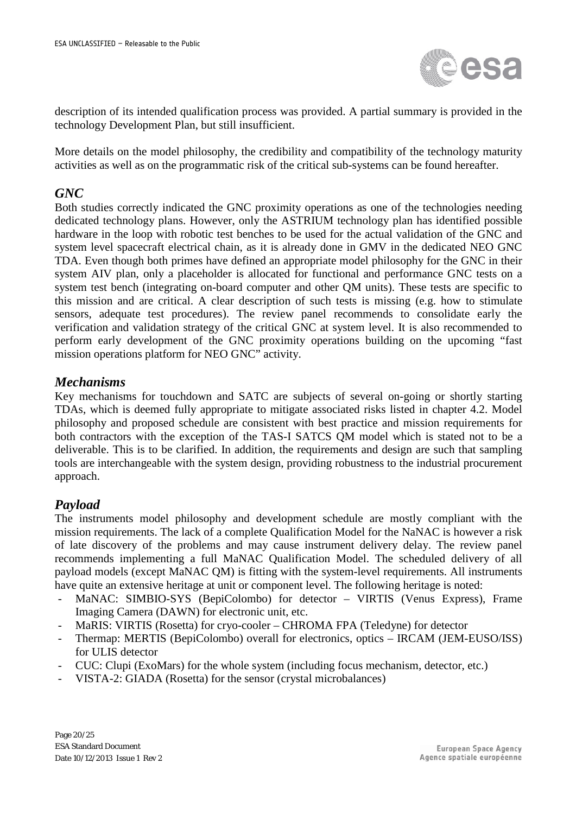

description of its intended qualification process was provided. A partial summary is provided in the technology Development Plan, but still insufficient.

More details on the model philosophy, the credibility and compatibility of the technology maturity activities as well as on the programmatic risk of the critical sub-systems can be found hereafter.

#### *GNC*

Both studies correctly indicated the GNC proximity operations as one of the technologies needing dedicated technology plans. However, only the ASTRIUM technology plan has identified possible hardware in the loop with robotic test benches to be used for the actual validation of the GNC and system level spacecraft electrical chain, as it is already done in GMV in the dedicated NEO GNC TDA. Even though both primes have defined an appropriate model philosophy for the GNC in their system AIV plan, only a placeholder is allocated for functional and performance GNC tests on a system test bench (integrating on-board computer and other QM units). These tests are specific to this mission and are critical. A clear description of such tests is missing (e.g. how to stimulate sensors, adequate test procedures). The review panel recommends to consolidate early the verification and validation strategy of the critical GNC at system level. It is also recommended to perform early development of the GNC proximity operations building on the upcoming "fast mission operations platform for NEO GNC" activity.

#### *Mechanisms*

Key mechanisms for touchdown and SATC are subjects of several on-going or shortly starting TDAs, which is deemed fully appropriate to mitigate associated risks listed in chapter 4.2. Model philosophy and proposed schedule are consistent with best practice and mission requirements for both contractors with the exception of the TAS-I SATCS QM model which is stated not to be a deliverable. This is to be clarified. In addition, the requirements and design are such that sampling tools are interchangeable with the system design, providing robustness to the industrial procurement approach.

#### *Payload*

The instruments model philosophy and development schedule are mostly compliant with the mission requirements. The lack of a complete Qualification Model for the NaNAC is however a risk of late discovery of the problems and may cause instrument delivery delay. The review panel recommends implementing a full MaNAC Qualification Model. The scheduled delivery of all payload models (except MaNAC QM) is fitting with the system-level requirements. All instruments have quite an extensive heritage at unit or component level. The following heritage is noted:

- MaNAC: SIMBIO-SYS (BepiColombo) for detector VIRTIS (Venus Express), Frame Imaging Camera (DAWN) for electronic unit, etc.
- MaRIS: VIRTIS (Rosetta) for cryo-cooler CHROMA FPA (Teledyne) for detector
- Thermap: MERTIS (BepiColombo) overall for electronics, optics IRCAM (JEM-EUSO/ISS) for ULIS detector
- CUC: Clupi (ExoMars) for the whole system (including focus mechanism, detector, etc.)
- VISTA-2: GIADA (Rosetta) for the sensor (crystal microbalances)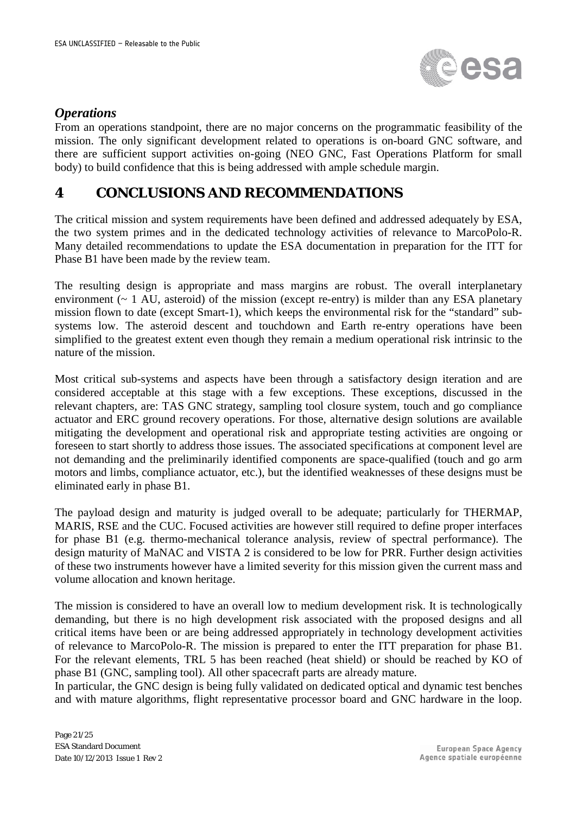

#### *Operations*

From an operations standpoint, there are no major concerns on the programmatic feasibility of the mission. The only significant development related to operations is on-board GNC software, and there are sufficient support activities on-going (NEO GNC, Fast Operations Platform for small body) to build confidence that this is being addressed with ample schedule margin.

## **4 CONCLUSIONS AND RECOMMENDATIONS**

The critical mission and system requirements have been defined and addressed adequately by ESA, the two system primes and in the dedicated technology activities of relevance to MarcoPolo-R. Many detailed recommendations to update the ESA documentation in preparation for the ITT for Phase B1 have been made by the review team.

The resulting design is appropriate and mass margins are robust. The overall interplanetary environment (~ 1 AU, asteroid) of the mission (except re-entry) is milder than any ESA planetary mission flown to date (except Smart-1), which keeps the environmental risk for the "standard" subsystems low. The asteroid descent and touchdown and Earth re-entry operations have been simplified to the greatest extent even though they remain a medium operational risk intrinsic to the nature of the mission.

Most critical sub-systems and aspects have been through a satisfactory design iteration and are considered acceptable at this stage with a few exceptions. These exceptions, discussed in the relevant chapters, are: TAS GNC strategy, sampling tool closure system, touch and go compliance actuator and ERC ground recovery operations. For those, alternative design solutions are available mitigating the development and operational risk and appropriate testing activities are ongoing or foreseen to start shortly to address those issues. The associated specifications at component level are not demanding and the preliminarily identified components are space-qualified (touch and go arm motors and limbs, compliance actuator, etc.), but the identified weaknesses of these designs must be eliminated early in phase B1.

The payload design and maturity is judged overall to be adequate; particularly for THERMAP, MARIS, RSE and the CUC. Focused activities are however still required to define proper interfaces for phase B1 (e.g. thermo-mechanical tolerance analysis, review of spectral performance). The design maturity of MaNAC and VISTA 2 is considered to be low for PRR. Further design activities of these two instruments however have a limited severity for this mission given the current mass and volume allocation and known heritage.

The mission is considered to have an overall low to medium development risk. It is technologically demanding, but there is no high development risk associated with the proposed designs and all critical items have been or are being addressed appropriately in technology development activities of relevance to MarcoPolo-R. The mission is prepared to enter the ITT preparation for phase B1. For the relevant elements, TRL 5 has been reached (heat shield) or should be reached by KO of phase B1 (GNC, sampling tool). All other spacecraft parts are already mature.

In particular, the GNC design is being fully validated on dedicated optical and dynamic test benches and with mature algorithms, flight representative processor board and GNC hardware in the loop.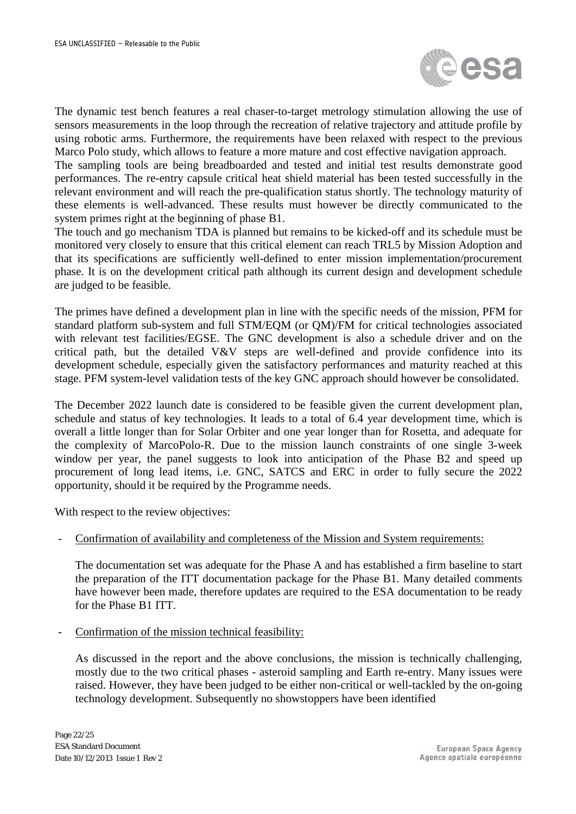

The dynamic test bench features a real chaser-to-target metrology stimulation allowing the use of sensors measurements in the loop through the recreation of relative trajectory and attitude profile by using robotic arms. Furthermore, the requirements have been relaxed with respect to the previous Marco Polo study, which allows to feature a more mature and cost effective navigation approach.

The sampling tools are being breadboarded and tested and initial test results demonstrate good performances. The re-entry capsule critical heat shield material has been tested successfully in the relevant environment and will reach the pre-qualification status shortly. The technology maturity of these elements is well-advanced. These results must however be directly communicated to the system primes right at the beginning of phase B1.

The touch and go mechanism TDA is planned but remains to be kicked-off and its schedule must be monitored very closely to ensure that this critical element can reach TRL5 by Mission Adoption and that its specifications are sufficiently well-defined to enter mission implementation/procurement phase. It is on the development critical path although its current design and development schedule are judged to be feasible.

The primes have defined a development plan in line with the specific needs of the mission, PFM for standard platform sub-system and full STM/EQM (or QM)/FM for critical technologies associated with relevant test facilities/EGSE. The GNC development is also a schedule driver and on the critical path, but the detailed V&V steps are well-defined and provide confidence into its development schedule, especially given the satisfactory performances and maturity reached at this stage. PFM system-level validation tests of the key GNC approach should however be consolidated.

The December 2022 launch date is considered to be feasible given the current development plan, schedule and status of key technologies. It leads to a total of 6.4 year development time, which is overall a little longer than for Solar Orbiter and one year longer than for Rosetta, and adequate for the complexity of MarcoPolo-R. Due to the mission launch constraints of one single 3-week window per year, the panel suggests to look into anticipation of the Phase B2 and speed up procurement of long lead items, i.e. GNC, SATCS and ERC in order to fully secure the 2022 opportunity, should it be required by the Programme needs.

With respect to the review objectives:

- Confirmation of availability and completeness of the Mission and System requirements:

The documentation set was adequate for the Phase A and has established a firm baseline to start the preparation of the ITT documentation package for the Phase B1. Many detailed comments have however been made, therefore updates are required to the ESA documentation to be ready for the Phase B1 ITT.

Confirmation of the mission technical feasibility:

As discussed in the report and the above conclusions, the mission is technically challenging, mostly due to the two critical phases - asteroid sampling and Earth re-entry. Many issues were raised. However, they have been judged to be either non-critical or well-tackled by the on-going technology development. Subsequently no showstoppers have been identified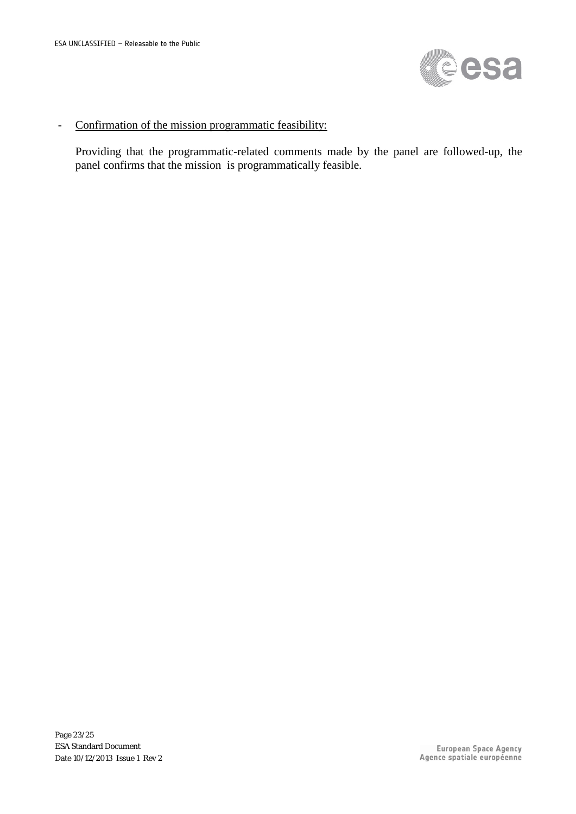

#### - Confirmation of the mission programmatic feasibility:

Providing that the programmatic-related comments made by the panel are followed-up, the panel confirms that the mission is programmatically feasible.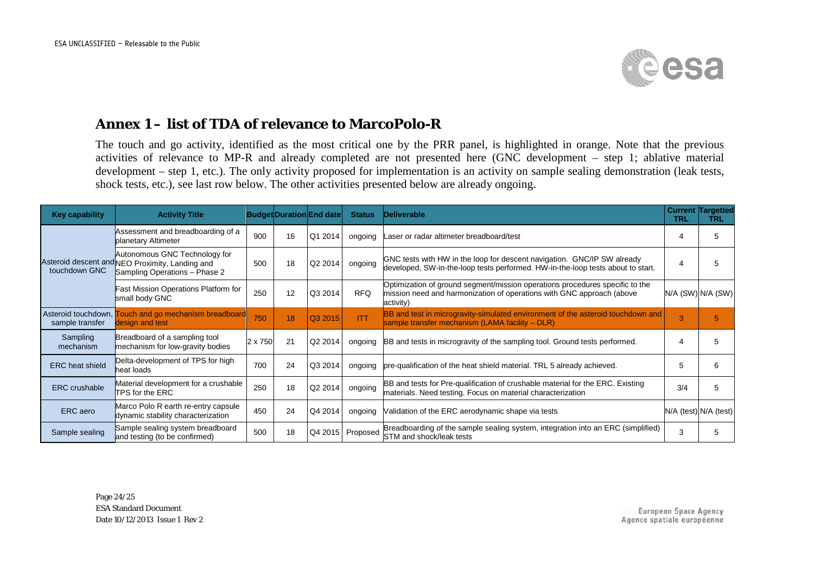

## **Annex 1 – list of TDA of relevance to MarcoPolo-R**

The touch and go activity, identified as the most critical one by the PRR panel, is highlighted in orange. Note that the previous activities of relevance to MP-R and already completed are not presented here (GNC development – step 1; ablative material development – step 1, etc.). The only activity proposed for implementation is an activity on sample sealing demonstration (leak tests, shock tests, etc.), see last row below. The other activities presented below are already ongoing.

| Key capability                           | <b>Activity Title</b>                                                                                             |         |    | <b>Budget Duration End date</b> | <b>Status</b> | <b>Deliverable</b>                                                                                                                                                 | TRL | <b>Current Targetted</b><br>TRL |
|------------------------------------------|-------------------------------------------------------------------------------------------------------------------|---------|----|---------------------------------|---------------|--------------------------------------------------------------------------------------------------------------------------------------------------------------------|-----|---------------------------------|
|                                          | Assessment and breadboarding of a<br>planetary Altimeter                                                          | 900     | 16 | Q1 2014                         | ongoing       | Laser or radar altimeter breadboard/test                                                                                                                           |     | 5                               |
| touchdown GNC                            | Autonomous GNC Technology for<br>Asteroid descent and NEO Proximity, Landing and<br>Sampling Operations - Phase 2 | 500     | 18 | Q2 2014                         | ongoing       | GNC tests with HW in the loop for descent navigation. GNC/IP SW already<br>developed, SW-in-the-loop tests performed. HW-in-the-loop tests about to start.         | 4   | 5                               |
|                                          | Fast Mission Operations Platform for<br>small body GNC                                                            | 250     | 12 | Q3 2014                         | <b>RFQ</b>    | Optimization of ground segment/mission operations procedures specific to the<br>mission need and harmonization of operations with GNC approach (above<br>activity) |     | N/A (SW) N/A (SW)               |
| Asteroid touchdown, n<br>sample transfer | <b>Fouch and go mechanism breadboard</b><br>design and test                                                       | 750     | 18 | Q3 2015                         | <b>ITT</b>    | BB and test in microgravity-simulated environment of the asteroid touchdown and<br>sample transfer mechanism (LAMA facility $-DLR$ )                               | 3   | 5                               |
| Sampling<br>mechanism                    | Breadboard of a sampling tool<br>mechanism for low-gravity bodies                                                 | 2 x 750 | 21 | Q2 2014                         | ongoing       | BB and tests in microgravity of the sampling tool. Ground tests performed.                                                                                         | 4   | 5                               |
| <b>ERC</b> heat shield                   | Delta-development of TPS for high<br>heat loads                                                                   | 700     | 24 | Q3 2014                         | ongoing       | pre-qualification of the heat shield material. TRL 5 already achieved.                                                                                             | 5   | 6                               |
| <b>ERC</b> crushable                     | Material development for a crushable<br><b>ITPS for the ERC</b>                                                   | 250     | 18 | Q2 2014                         | ongoing       | BB and tests for Pre-qualification of crushable material for the ERC. Existing<br>materials. Need testing. Focus on material characterization                      | 3/4 | 5                               |
| ERC aero                                 | Marco Polo R earth re-entry capsule<br>dynamic stability characterization                                         | 450     | 24 | Q4 2014                         | ongoing       | Validation of the ERC aerodynamic shape via tests                                                                                                                  |     | N/A (test) N/A (test)           |
| Sample sealing                           | Sample sealing system breadboard<br>and testing (to be confirmed)                                                 | 500     | 18 | Q4 2015                         | Proposed      | Breadboarding of the sample sealing system, integration into an ERC (simplified)<br>STM and shock/leak tests                                                       | 3   | 5                               |

Page 24/25 ESA Standard Document Date 10/12/2013 Issue 1 Rev 2

**European Space Agency** Agence spatiale européenne